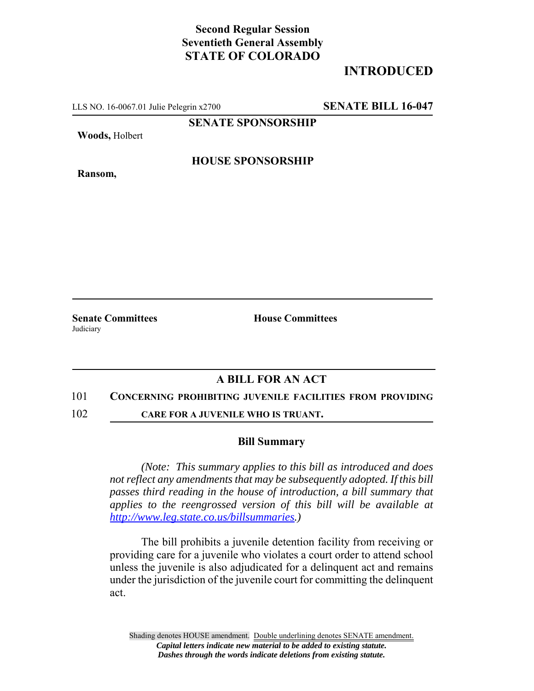## **Second Regular Session Seventieth General Assembly STATE OF COLORADO**

# **INTRODUCED**

LLS NO. 16-0067.01 Julie Pelegrin x2700 **SENATE BILL 16-047**

**SENATE SPONSORSHIP**

**Woods,** Holbert

**HOUSE SPONSORSHIP**

**Ransom,**

**Senate Committees House Committees** Judiciary

## **A BILL FOR AN ACT**

#### 101 **CONCERNING PROHIBITING JUVENILE FACILITIES FROM PROVIDING**

102 **CARE FOR A JUVENILE WHO IS TRUANT.**

### **Bill Summary**

*(Note: This summary applies to this bill as introduced and does not reflect any amendments that may be subsequently adopted. If this bill passes third reading in the house of introduction, a bill summary that applies to the reengrossed version of this bill will be available at http://www.leg.state.co.us/billsummaries.)*

The bill prohibits a juvenile detention facility from receiving or providing care for a juvenile who violates a court order to attend school unless the juvenile is also adjudicated for a delinquent act and remains under the jurisdiction of the juvenile court for committing the delinquent act.

Shading denotes HOUSE amendment. Double underlining denotes SENATE amendment. *Capital letters indicate new material to be added to existing statute. Dashes through the words indicate deletions from existing statute.*